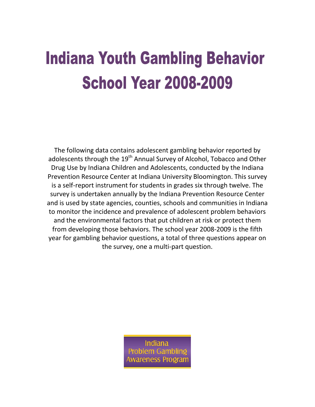## **Indiana Youth Gambling Behavior School Year 2008-2009**

The following data contains adolescent gambling behavior reported by adolescents through the 19<sup>th</sup> Annual Survey of Alcohol, Tobacco and Other Drug Use by Indiana Children and Adolescents, conducted by the Indiana Prevention Resource Center at Indiana University Bloomington. This survey is a self-report instrument for students in grades six through twelve. The survey is undertaken annually by the Indiana Prevention Resource Center and is used by state agencies, counties, schools and communities in Indiana to monitor the incidence and prevalence of adolescent problem behaviors and the environmental factors that put children at risk or protect them from developing those behaviors. The school year 2008-2009 is the fifth year for gambling behavior questions, a total of three questions appear on the survey, one a multi-part question.

> Indiana **Problem Gambling** wareness Program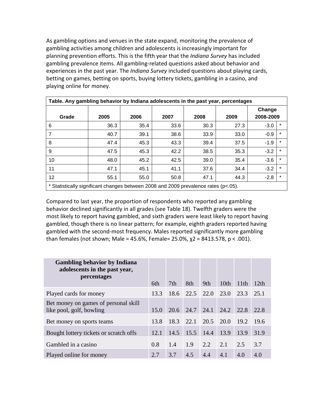As gambling options and venues in the state expand, monitoring the prevalence of gambling activities among children and adolescents is increasingly important for planning prevention efforts. This is the fifth year that the *Indiana Survey* has included gambling prevalence items. All gambling-related questions asked about behavior and experiences in the past year. The *Indiana Survey* included questions about playing cards, betting on games, betting on sports, buying lottery tickets, gambling in a casino, and playing online for money.

| Table. Any gambling behavior by Indiana adolescents in the past year, percentages   |      |      |      |      |      |                     |         |  |
|-------------------------------------------------------------------------------------|------|------|------|------|------|---------------------|---------|--|
| Grade                                                                               | 2005 | 2006 | 2007 | 2008 | 2009 | Change<br>2008-2009 |         |  |
| 6                                                                                   | 36.3 | 35.4 | 33.6 | 30.3 | 27.3 | $-3.0$              | $\ast$  |  |
| 7                                                                                   | 40.7 | 39.1 | 38.6 | 33.9 | 33.0 | $-0.9$              | $\ast$  |  |
| 8                                                                                   | 47.4 | 45.3 | 43.3 | 39.4 | 37.5 | $-1.9$              | $\ast$  |  |
| 9                                                                                   | 47.5 | 45.3 | 42.2 | 38.5 | 35.3 | $-3.2$              | $\ast$  |  |
| 10                                                                                  | 48.0 | 45.2 | 42.5 | 39.0 | 35.4 | $-3.6$              | $\ast$  |  |
| 11                                                                                  | 47.1 | 45.1 | 41.1 | 37.6 | 34.4 | $-3.2$              | $\star$ |  |
| 12                                                                                  | 55.1 | 55.0 | 50.8 | 47.1 | 44.3 | $-2.8$              | $\star$ |  |
| * Statistically significant changes between 2008 and 2009 prevalence rates (p<.05). |      |      |      |      |      |                     |         |  |

Compared to last year, the proportion of respondents who reported any gambling behavior declined significantly in all grades (see Table 18). Twelfth graders were the most likely to report having gambled, and sixth graders were least likely to report having gambled, though there is no linear pattern; for example, eighth graders reported having gambled with the second-most frequency. Males reported significantly more gambling than females (not shown; Male = 45.6%, Female= 25.0%,  $\chi$ 2 = 8413.578, p < .001).

| <b>Gambling behavior by Indiana</b><br>adolescents in the past year,<br>percentages | 6th  | 7th  | 8th       | 9th  | 10 <sup>th</sup> | 11th | 12th  |
|-------------------------------------------------------------------------------------|------|------|-----------|------|------------------|------|-------|
| Played cards for money                                                              | 13.3 | 18.6 | 22.5 22.0 |      | 23.0             | 23.3 | 25.1  |
| Bet money on games of personal skill<br>like pool, golf, bowling                    | 15.0 | 20.6 | 24.7      | 24.1 | 24.2             | 22.8 | 22.8  |
| Bet money on sports teams                                                           | 13.8 | 18.3 | 22.1      | 20.5 | 20.0             | 19.2 | -19.6 |
| Bought lottery tickets or scratch offs                                              | 12.1 | 14.5 | 15.5      | 14.4 | 13.9             | 13.9 | 31.9  |
| Gambled in a casino                                                                 | 0.8  | 1.4  | 1.9       | 2.2  | 2.1              | 2.5  | 3.7   |
| Played online for money                                                             | 2.7  | 3.7  | 4.5       | 4.4  | 4.1              | 4.0  | 4.0   |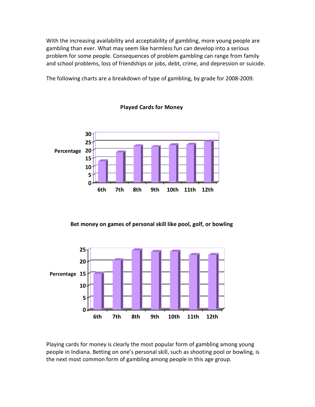With the increasing availability and acceptability of gambling, more young people are gambling than ever. What may seem like harmless fun can develop into a serious problem for some people. Consequences of problem gambling can range from family and school problems, loss of friendships or jobs, debt, crime, and depression or suicide.

The following charts are a breakdown of type of gambling, by grade for 2008-2009.





**Bet money on games of personal skill like pool, golf, or bowling**



Playing cards for money is clearly the most popular form of gambling among young people in Indiana. Betting on one's personal skill, such as shooting pool or bowling, is the next most common form of gambling among people in this age group.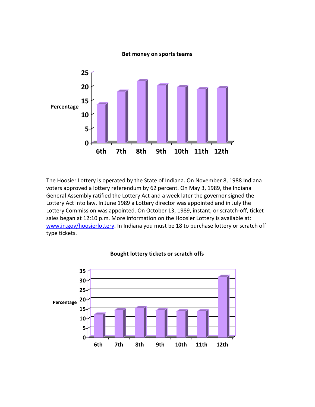## **Bet money on sports teams**



The Hoosier Lottery is operated by the State of Indiana. On November 8, 1988 Indiana voters approved a lottery referendum by 62 percent. On May 3, 1989, the Indiana General Assembly ratified the Lottery Act and a week later the governor signed the Lottery Act into law. In June 1989 a Lottery director was appointed and in July the Lottery Commission was appointed. On October 13, 1989, instant, or scratch-off, ticket sales began at 12:10 p.m. More information on the Hoosier Lottery is available at: [www.in.gov/hoosierlottery.](http://www.in.gov/hoosierlottery) In Indiana you must be 18 to purchase lottery or scratch off type tickets.



## **Bought lottery tickets or scratch offs**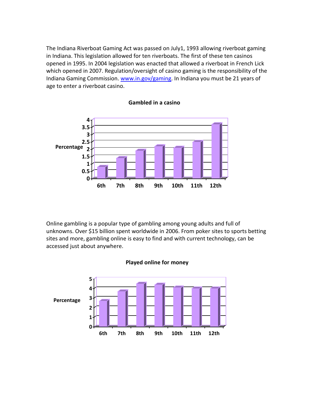The Indiana Riverboat Gaming Act was passed on July1, 1993 allowing riverboat gaming in Indiana. This legislation allowed for ten riverboats. The first of these ten casinos opened in 1995. In 2004 legislation was enacted that allowed a riverboat in French Lick which opened in 2007. Regulation/oversight of casino gaming is the responsibility of the Indiana Gaming Commission. [www.in.gov/gaming.](http://www.in.gov/gaming) In Indiana you must be 21 years of age to enter a riverboat casino.





Online gambling is a popular type of gambling among young adults and full of unknowns. Over \$15 billion spent worldwide in 2006. From poker sites to sports betting sites and more, gambling online is easy to find and with current technology, can be accessed just about anywhere.



## **Played online for money**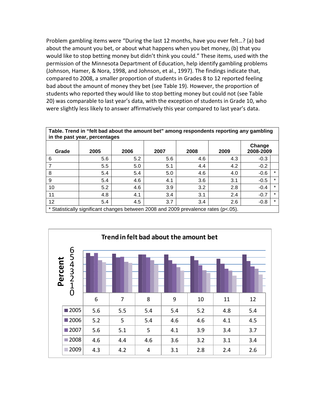Problem gambling items were "During the last 12 months, have you ever felt…? (a) bad about the amount you bet, or about what happens when you bet money, (b) that you would like to stop betting money but didn't think you could." These items, used with the permission of the Minnesota Department of Education, help identify gambling problems (Johnson, Hamer, & Nora, 1998, and Johnson, et al., 1997). The findings indicate that, compared to 2008, a smaller proportion of students in Grades 8 to 12 reported feeling bad about the amount of money they bet (see Table 19). However, the proportion of students who reported they would like to stop betting money but could not (see Table 20) was comparable to last year's data, with the exception of students in Grade 10, who were slightly less likely to answer affirmatively this year compared to last year's data.

| Table. Trend in "felt bad about the amount bet" among respondents reporting any gambling<br>in the past year, percentages |      |      |      |      |      |                     |         |  |  |
|---------------------------------------------------------------------------------------------------------------------------|------|------|------|------|------|---------------------|---------|--|--|
| Grade                                                                                                                     | 2005 | 2006 | 2007 | 2008 | 2009 | Change<br>2008-2009 |         |  |  |
| 6                                                                                                                         | 5.6  | 5.2  | 5.6  | 4.6  | 4.3  | $-0.3$              |         |  |  |
| 7                                                                                                                         | 5.5  | 5.0  | 5.1  | 4.4  | 4.2  | $-0.2$              |         |  |  |
| 8                                                                                                                         | 5.4  | 5.4  | 5.0  | 4.6  | 4.0  | $-0.6$              | $\ast$  |  |  |
| 9                                                                                                                         | 5.4  | 4.6  | 4.1  | 3.6  | 3.1  | $-0.5$              | $\ast$  |  |  |
| 10                                                                                                                        | 5.2  | 4.6  | 3.9  | 3.2  | 2.8  | $-0.4$              | $\star$ |  |  |
| 11                                                                                                                        | 4.8  | 4.1  | 3.4  | 3.1  | 2.4  | $-0.7$              | $\star$ |  |  |
| 12                                                                                                                        | 5.4  | 4.5  | 3.7  | 3.4  | 2.6  | $-0.8$              | $\star$ |  |  |
| * Statistically significant changes between 2008 and 2009 prevalence rates (p<.05).                                       |      |      |      |      |      |                     |         |  |  |

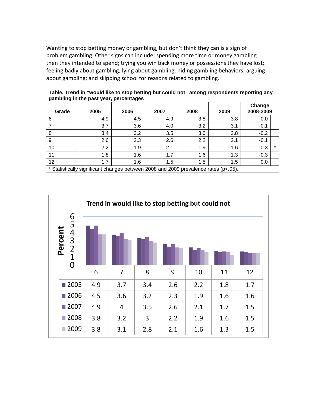Wanting to stop betting money or gambling, but don't think they can is a sign of problem gambling. Other signs can include: spending more time or money gambling then they intended to spend; trying you win back money or possessions they have lost; feeling badly about gambling; lying about gambling; hiding gambling behaviors; arguing about gambling; and skipping school for reasons related to gambling.

| gambling in the past year, percentages                                              |      |      |      |      |      |                     |         |  |  |
|-------------------------------------------------------------------------------------|------|------|------|------|------|---------------------|---------|--|--|
| Grade                                                                               | 2005 | 2006 | 2007 | 2008 | 2009 | Change<br>2008-2009 |         |  |  |
| 6                                                                                   | 4.9  | 4.5  | 4.9  | 3.8  | 3.8  | 0.0                 |         |  |  |
|                                                                                     | 3.7  | 3.6  | 4.0  | 3.2  | 3.1  | $-0.1$              |         |  |  |
| 8                                                                                   | 3.4  | 3.2  | 3.5  | 3.0  | 2.8  | $-0.2$              |         |  |  |
| 9                                                                                   | 2.6  | 2.3  | 2.6  | 2.2  | 2.1  | $-0.1$              |         |  |  |
| 10                                                                                  | 2.2  | 1.9  | 2.1  | 1.9  | 1.6  | $-0.3$              | $\star$ |  |  |
| 11                                                                                  | 1.8  | 1.6  | 1.7  | 1.6  | 1.3  | $-0.3$              |         |  |  |
| 12                                                                                  | 1.7  | 1.6  | 1.5  | 1.5  | 1.5  | 0.0                 |         |  |  |
| * Statistically significant changes between 2008 and 2009 prevalence rates (p<.05). |      |      |      |      |      |                     |         |  |  |

6 7 8 9 10 11 12 2005 4.9 3.7 3.4 2.6 2.2 1.8 1.7 2006 4.5 3.6 3.2 2.3 1.9 1.6 1.6 2007 4.9 4 3.5 2.6 2.1 1.7 1.5 2008 3.8 3.2 3 2.2 1.9 1.6 1.5 2009 3.8 3.1 2.8 2.1 1.6 1.3 1.5 0 1 2 3 4 5 6 **Percent Trend in would like to stop betting but could not**

**Table. Trend in "would like to stop betting but could not" among respondents reporting any**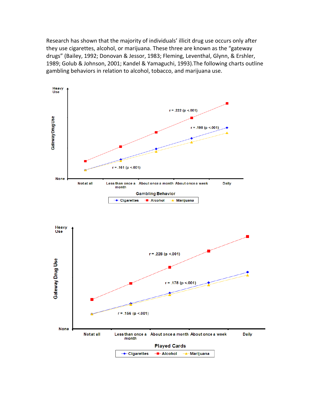Research has shown that the majority of individuals' illicit drug use occurs only after they use cigarettes, alcohol, or marijuana. These three are known as the "gateway drugs" (Bailey, 1992; Donovan & Jessor, 1983; Fleming, Leventhal, Glynn, & Ershler, 1989; Golub & Johnson, 2001; Kandel & Yamaguchi, 1993).The following charts outline gambling behaviors in relation to alcohol, tobacco, and marijuana use.

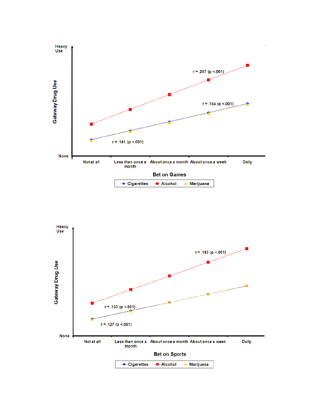

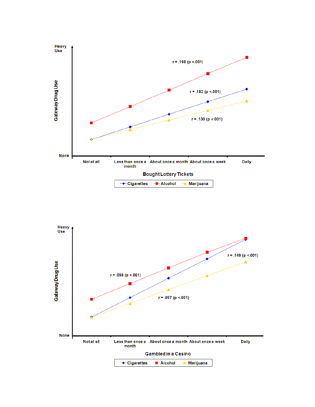

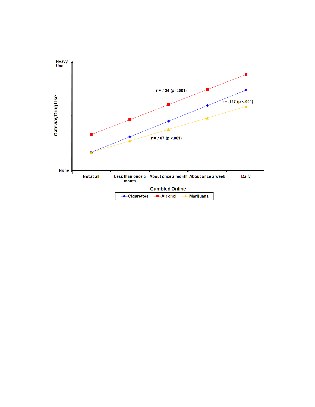